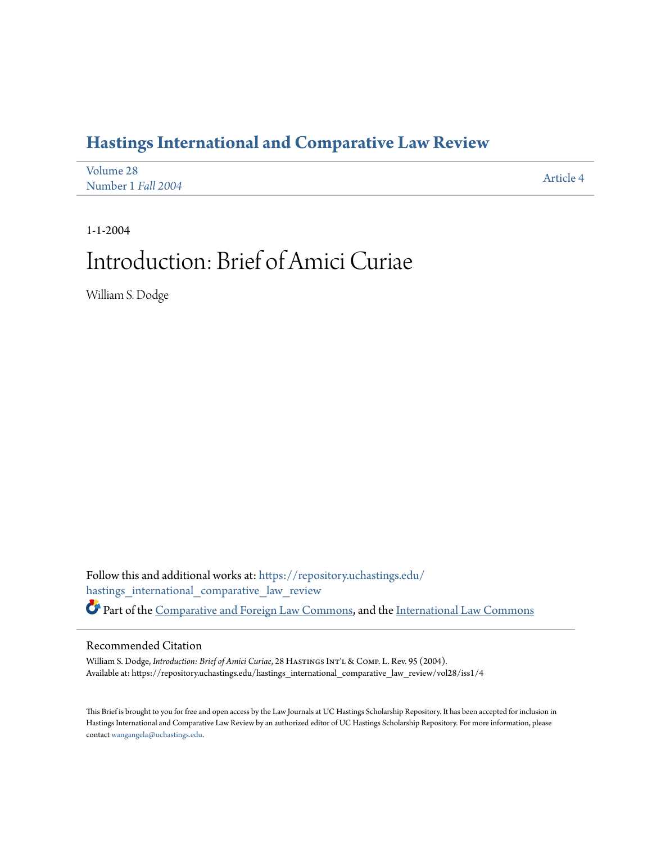## **[Hastings International and Comparative Law Review](https://repository.uchastings.edu/hastings_international_comparative_law_review?utm_source=repository.uchastings.edu%2Fhastings_international_comparative_law_review%2Fvol28%2Fiss1%2F4&utm_medium=PDF&utm_campaign=PDFCoverPages)**

| Volume 28          | Article 4 |
|--------------------|-----------|
| Number 1 Fall 2004 |           |

## 1-1-2004 Introduction: Brief of Amici Curiae

William S. Dodge

Follow this and additional works at: [https://repository.uchastings.edu/](https://repository.uchastings.edu/hastings_international_comparative_law_review?utm_source=repository.uchastings.edu%2Fhastings_international_comparative_law_review%2Fvol28%2Fiss1%2F4&utm_medium=PDF&utm_campaign=PDFCoverPages) [hastings\\_international\\_comparative\\_law\\_review](https://repository.uchastings.edu/hastings_international_comparative_law_review?utm_source=repository.uchastings.edu%2Fhastings_international_comparative_law_review%2Fvol28%2Fiss1%2F4&utm_medium=PDF&utm_campaign=PDFCoverPages) Part of the [Comparative and Foreign Law Commons](http://network.bepress.com/hgg/discipline/836?utm_source=repository.uchastings.edu%2Fhastings_international_comparative_law_review%2Fvol28%2Fiss1%2F4&utm_medium=PDF&utm_campaign=PDFCoverPages), and the [International Law Commons](http://network.bepress.com/hgg/discipline/609?utm_source=repository.uchastings.edu%2Fhastings_international_comparative_law_review%2Fvol28%2Fiss1%2F4&utm_medium=PDF&utm_campaign=PDFCoverPages)

## Recommended Citation

William S. Dodge, *Introduction: Brief of Amici Curiae*, 28 HASTINGS INT'L & COMP. L. Rev. 95 (2004). Available at: https://repository.uchastings.edu/hastings\_international\_comparative\_law\_review/vol28/iss1/4

This Brief is brought to you for free and open access by the Law Journals at UC Hastings Scholarship Repository. It has been accepted for inclusion in Hastings International and Comparative Law Review by an authorized editor of UC Hastings Scholarship Repository. For more information, please contact [wangangela@uchastings.edu](mailto:wangangela@uchastings.edu).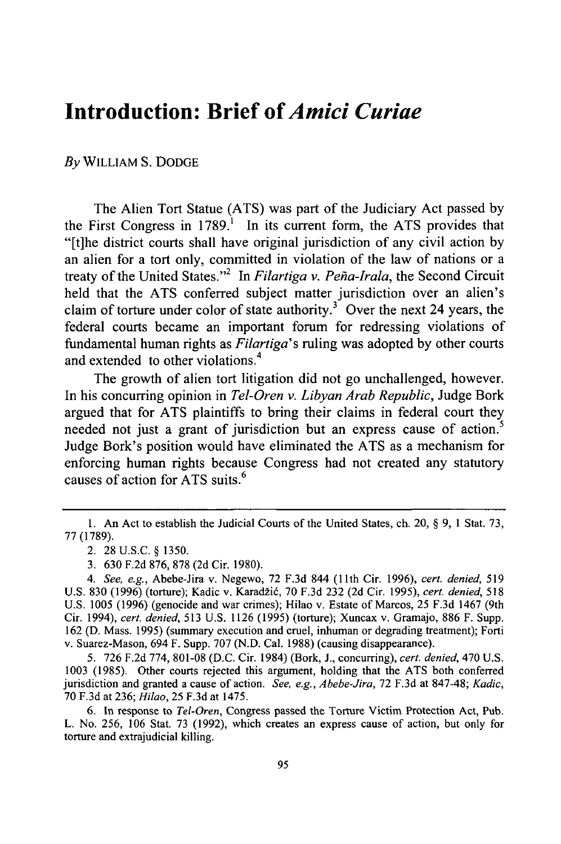## **Introduction: Brief of** *Amici Curiae*

*By* WILLIAM S. DODGE

The Alien Tort Statue (ATS) was part of the Judiciary Act passed by the First Congress in 1789.' In its current form, the ATS provides that "[t]he district courts shall have original jurisdiction of any civil action by an alien for a tort only, committed in violation of the law of nations or a treaty of the United States."<sup>2</sup> In *Filartiga v. Peña-Irala*, the Second Circuit held that the ATS conferred subject matter jurisdiction over an alien's claim of torture under color of state authority.<sup>3</sup> Over the next 24 years, the federal courts became an important forum for redressing violations of fundamental human rights as *Filartiga's* ruling was adopted by other courts and extended to other violations.<sup>4</sup>

The growth of alien tort litigation did not go unchallenged, however. In his concurring opinion in *Tel-Oren v. Libyan Arab Republic,* Judge Bork argued that for ATS plaintiffs to bring their claims in federal court they needed not just a grant of jurisdiction but an express cause of action.<sup>5</sup> Judge Bork's position would have eliminated the ATS as a mechanism for enforcing human rights because Congress had not created any statutory causes of action for ATS suits. <sup>6</sup>

<sup>1.</sup> An Act to establish the Judicial Courts of the United States, ch. 20, § 9, 1 Stat. 73, 77 (1789).

<sup>2. 28</sup> U.S.C. § 1350.

<sup>3. 630</sup> F.2d 876, 878 (2d Cir. 1980).

*<sup>4.</sup> See, e.g.,* Abebe-Jira v. Negewo, 72 F.3d 844 **(11th** Cir. 1996), *cert. denied,* 519 U.S. 830 (1996) (torture); Kadic v. Karadžić, 70 F.3d 232 (2d Cir. 1995), cert. denied, 518 U.S. 1005 (1996) (genocide and war crimes); Hilao v. Estate of Marcos, 25 F.3d 1467 (9th Cir. 1994), *cert. denied,* 513 U.S. 1126 (1995) (torture); Xuncax v. Gramajo, 886 F. Supp. 162 (D. Mass. 1995) (summary execution and cruel, inhuman or degrading treatment); Forti v. Suarez-Mason, 694 F. Supp. 707 (N.D. Cal. 1988) (causing disappearance).

<sup>5. 726</sup> F.2d 774, 801-08 (D.C. Cir. 1984) (Bork, J., concurring), *cert. denied,* 470 U.S. 1003 (1985). Other courts rejected this argument, holding that the ATS both conferred jurisdiction and granted a cause of action. *See, e.g., Abebe-Jira,* 72 F.3d at 847-48; *Kadic,* 70 F.3d at 236; *Hilao,* 25 F.3d at 1475.

<sup>6.</sup> In response to *Tel-Oren,* Congress passed the Torture Victim Protection Act, Pub. L. No. 256, 106 Stat. 73 (1992), which creates an express cause of action, but only for torture and extrajudicial killing.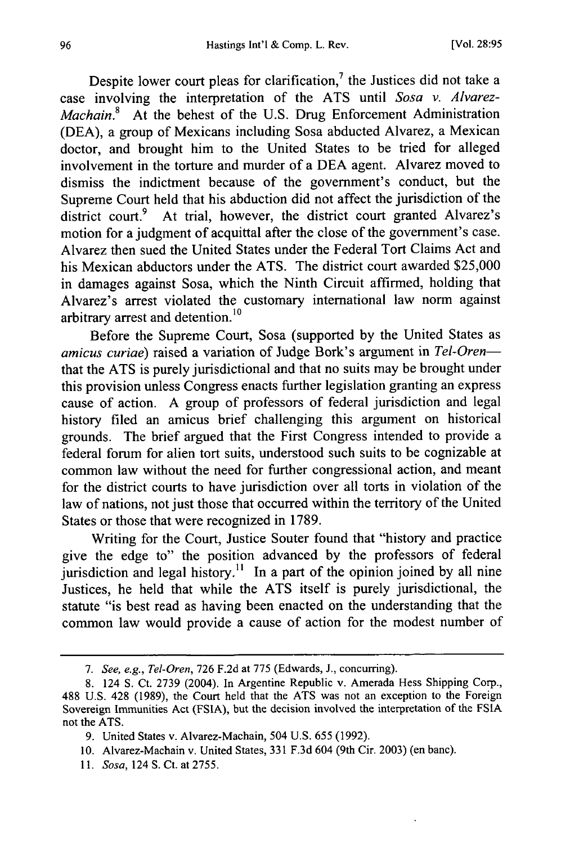Despite lower court pleas for clarification,<sup>7</sup> the Justices did not take a case involving the interpretation of the ATS until *Sosa v. Alvarez-Machain.8* At the behest of the U.S. Drug Enforcement Administration (DEA), a group of Mexicans including Sosa abducted Alvarez, a Mexican doctor, and brought him to the United States to be tried for alleged involvement in the torture and murder of a DEA agent. Alvarez moved to dismiss the indictment because of the government's conduct, but the Supreme Court held that his abduction did not affect the jurisdiction of the district court.<sup>9</sup> At trial, however, the district court granted Alvarez's motion for a judgment of acquittal after the close of the government's case. Alvarez then sued the United States under the Federal Tort Claims Act and his Mexican abductors under the ATS. The district court awarded \$25,000 in damages against Sosa, which the Ninth Circuit affirmed, holding that Alvarez's arrest violated the customary international law norm against arbitrary arrest and detention.<sup>10</sup>

Before the Supreme Court, Sosa (supported by the United States as *amicus curiae)* raised a variation of Judge Bork's argument in *Tel-Oren*that the ATS is purely jurisdictional and that no suits may be brought under this provision unless Congress enacts further legislation granting an express cause of action. A group of professors of federal jurisdiction and legal history filed an amicus brief challenging this argument on historical grounds. The brief argued that the First Congress intended to provide a federal forum for alien tort suits, understood such suits to be cognizable at common law without the need for further congressional action, and meant for the district courts to have jurisdiction over all torts in violation of the law of nations, not just those that occurred within the territory of the United States or those that were recognized in 1789.

Writing for the Court, Justice Souter found that "history and practice give the edge to" the position advanced by the professors of federal jurisdiction and legal history.<sup>11</sup> In a part of the opinion joined by all nine Justices, he held that while the ATS itself is purely jurisdictional, the statute "is best read as having been enacted on the understanding that the common law would provide a cause of action for the modest number of

*11.* Sosa, 124 **S.** Ct. at 2755.

<sup>7.</sup> See, e.g., Tel-Oren, 726 F.2d at 775 (Edwards, **J.,** concurring).

<sup>8. 124</sup> **S.** Ct. 2739 (2004). In Argentine Republic v. Amerada Hess Shipping Corp., 488 U.S. 428 (1989), the Court held that the ATS was not an exception to the Foreign Sovereign Immunities Act (FSIA), but the decision involved the interpretation of the **FSIA** not the ATS.

<sup>9.</sup> United States v. Alvarez-Machain, 504 U.S. 655 (1992).

<sup>10.</sup> Alvarez-Machain v. United States, 331 F.3d 604 (9th Cir. 2003) (en banc).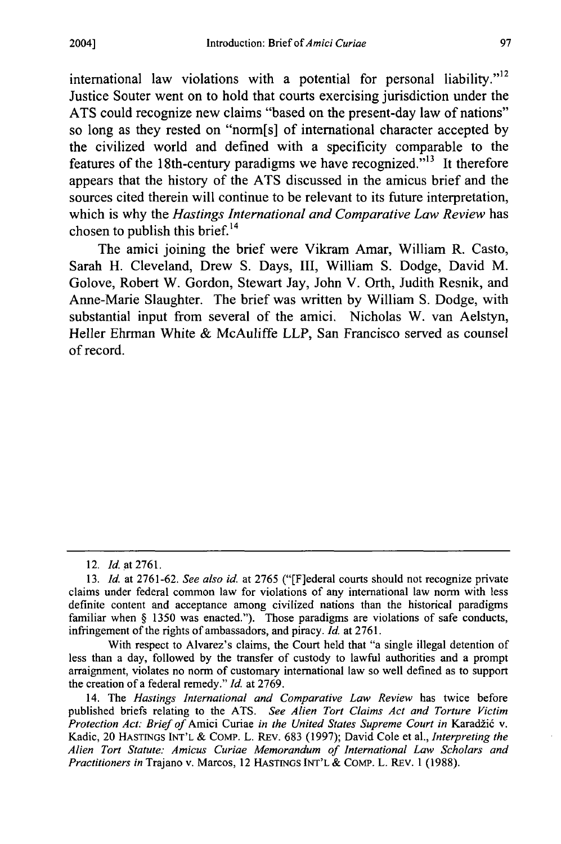international law violations with a potential for personal liability."<sup>12</sup> Justice Souter went on to hold that courts exercising jurisdiction under the **ATS** could recognize new claims "based on the present-day law of nations" so long as they rested on "norm[s] of international character accepted **by** the civilized world and defined with a specificity comparable to the features of the 18th-century paradigms we have recognized. $13$ <sup>13</sup> It therefore appears that the history of the **ATS** discussed in the amicus brief and the sources cited therein will continue to be relevant to its future interpretation, which is why the *Hastings International and Comparative Law Review* has chosen to publish this brief.<sup>14</sup>

The amici joining the brief were Vikram Amar, William R. Casto, Sarah H. Cleveland, Drew **S.** Days, **III,** William **S.** Dodge, David M. Golove, Robert W. Gordon, Stewart Jay, John V. Orth, Judith Resnik, and Anne-Marie Slaughter. The brief was written **by** William **S.** Dodge, with substantial input from several of the amici. Nicholas W. van Aelstyn, Heller Ehrman White **&** McAuliffe LLP, San Francisco served as counsel of record.

With respect to Alvarez's claims, the Court held that "a single illegal detention of less than a day, followed **by** the transfer of custody to lawful authorities and a prompt arraignment, violates no norm of customary international law so well defined as to support the creation of a federal remedy." *Id.* at **2769.**

14. The *Hastings International and Comparative Law Review* has twice before published briefs relating to the **ATS.** *See Alien Tort Claims Act and Torture Victim Protection Act: Brief of Amici Curiae in the United States Supreme Court in Karadžić v.* Kadic, 20 HASTrNGS **INT'L &** CoMP. L. REv. **683 (1997);** David Cole et al., *Interpreting the Alien Tort Statute: Amicus Curiae Memorandum of International Law Scholars and Practitioners in* Trajano v. Marcos, 12 **HASTINGS INT'L & COMP.** L. REv. **1 (1988).**

<sup>12.</sup> *Id.* at **2761.**

**<sup>13.</sup>** *Id.* at **2761-62.** *See also id.* at **2765** ("[F]ederal courts should not recognize private claims under federal common law for violations of any international law norm with less definite content and acceptance among civilized nations than the historical paradigms familiar when **§ 1350** was enacted."). Those paradigms are violations of safe conducts, infringement of the rights of ambassadors, and piracy. *Id.* at **2761.**